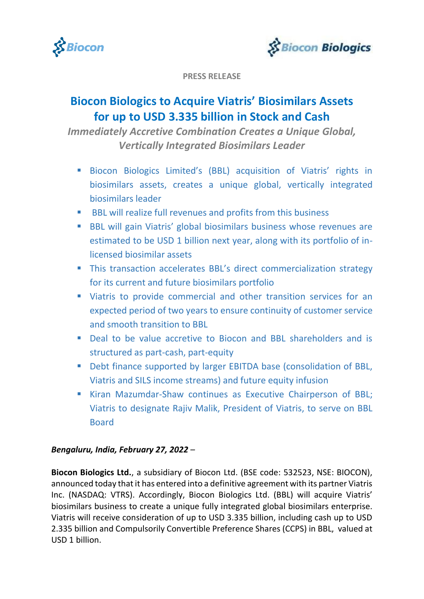



**PRESS RELEASE**

# **Biocon Biologics to Acquire Viatris' Biosimilars Assets for up to USD 3.335 billion in Stock and Cash**

*Immediately Accretive Combination Creates a Unique Global, Vertically Integrated Biosimilars Leader*

- **Biocon Biologics Limited's (BBL) acquisition of Viatris' rights in** biosimilars assets, creates a unique global, vertically integrated biosimilars leader
- BBL will realize full revenues and profits from this business
- **BBL will gain Viatris' global biosimilars business whose revenues are** estimated to be USD 1 billion next year, along with its portfolio of inlicensed biosimilar assets
- This transaction accelerates BBL's direct commercialization strategy for its current and future biosimilars portfolio
- Viatris to provide commercial and other transition services for an expected period of two years to ensure continuity of customer service and smooth transition to BBL
- Deal to be value accretive to Biocon and BBL shareholders and is structured as part-cash, part-equity
- **•** Debt finance supported by larger EBITDA base (consolidation of BBL, Viatris and SILS income streams) and future equity infusion
- **Kiran Mazumdar-Shaw continues as Executive Chairperson of BBL;** Viatris to designate Rajiv Malik, President of Viatris, to serve on BBL Board

# *Bengaluru, India, February 27, 2022 –*

**Biocon Biologics Ltd.**, a subsidiary of Biocon Ltd. (BSE code: 532523, NSE: BIOCON), announced today that it has entered into a definitive agreement with its partner Viatris Inc. (NASDAQ: VTRS). Accordingly, Biocon Biologics Ltd. (BBL) will acquire Viatris' biosimilars business to create a unique fully integrated global biosimilars enterprise. Viatris will receive consideration of up to USD 3.335 billion, including cash up to USD 2.335 billion and Compulsorily Convertible Preference Shares (CCPS) in BBL, valued at USD 1 billion.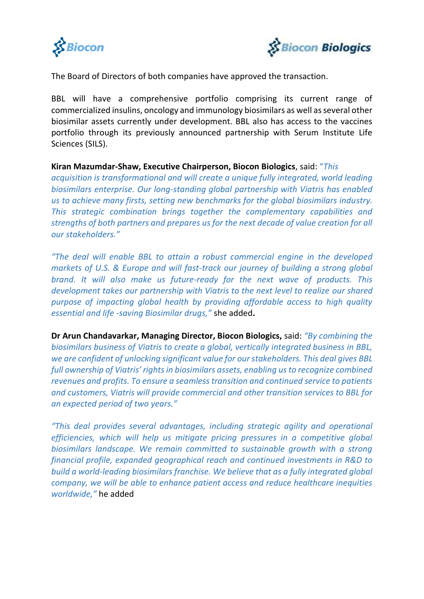



The Board of Directors of both companies have approved the transaction.

BBL will have a comprehensive portfolio comprising its current range of commercialized insulins, oncology and immunology biosimilars as well as several other biosimilar assets currently under development. BBL also has access to the vaccines portfolio through its previously announced partnership with Serum Institute Life Sciences (SILS).

### **Kiran Mazumdar-Shaw, Executive Chairperson, Biocon Biologics**, said: "*This*

*acquisition is transformational and will create a unique fully integrated, world leading biosimilars enterprise. Our long-standing global partnership with Viatris has enabled us to achieve many firsts, setting new benchmarks for the global biosimilars industry. This strategic combination brings together the complementary capabilities and strengths of both partners and prepares us for the next decade of value creation for all our stakeholders."* 

*"The deal will enable BBL to attain a robust commercial engine in the developed markets of U.S. & Europe and will fast-track our journey of building a strong global brand. It will also make us future-ready for the next wave of products. This development takes our partnership with Viatris to the next level to realize our shared purpose of impacting global health by providing affordable access to high quality essential and life -saving Biosimilar drugs,"* she added**.**

**Dr Arun Chandavarkar, Managing Director, Biocon Biologics,** said: *"By combining the biosimilars business of Viatris to create a global, vertically integrated business in BBL, we are confident of unlocking significant value for our stakeholders. This deal gives BBL full ownership of Viatris' rights in biosimilars assets, enabling us to recognize combined revenues and profits. To ensure a seamless transition and continued service to patients and customers, Viatris will provide commercial and other transition services to BBL for an expected period of two years."* 

*"This deal provides several advantages, including strategic agility and operational efficiencies, which will help us mitigate pricing pressures in a competitive global biosimilars landscape. We remain committed to sustainable growth with a strong financial profile, expanded geographical reach and continued investments in R&D to build a world-leading biosimilars franchise. We believe that as a fully integrated global company, we will be able to enhance patient access and reduce healthcare inequities worldwide,"* he added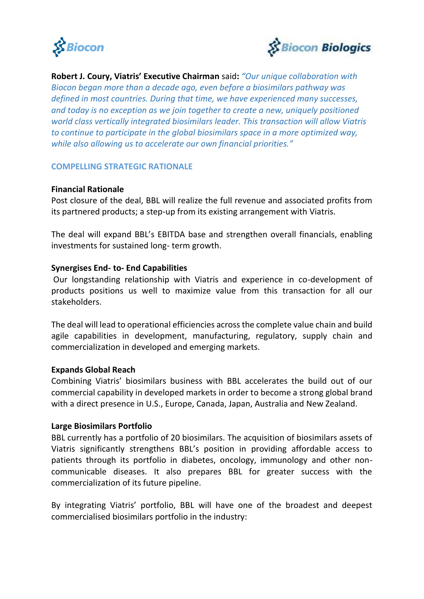



**Robert J. Coury, Viatris' Executive Chairman** said**:** *"Our unique collaboration with Biocon began more than a decade ago, even before a biosimilars pathway was defined in most countries. During that time, we have experienced many successes, and today is no exception as we join together to create a new, uniquely positioned world class vertically integrated biosimilars leader. This transaction will allow Viatris to continue to participate in the global biosimilars space in a more optimized way, while also allowing us to accelerate our own financial priorities."*

### **COMPELLING STRATEGIC RATIONALE**

### **Financial Rationale**

Post closure of the deal, BBL will realize the full revenue and associated profits from its partnered products; a step-up from its existing arrangement with Viatris.

The deal will expand BBL's EBITDA base and strengthen overall financials, enabling investments for sustained long- term growth.

### **Synergises End- to- End Capabilities**

Our longstanding relationship with Viatris and experience in co-development of products positions us well to maximize value from this transaction for all our stakeholders.

The deal will lead to operational efficiencies across the complete value chain and build agile capabilities in development, manufacturing, regulatory, supply chain and commercialization in developed and emerging markets.

### **Expands Global Reach**

Combining Viatris' biosimilars business with BBL accelerates the build out of our commercial capability in developed markets in order to become a strong global brand with a direct presence in U.S., Europe, Canada, Japan, Australia and New Zealand.

### **Large Biosimilars Portfolio**

BBL currently has a portfolio of 20 biosimilars. The acquisition of biosimilars assets of Viatris significantly strengthens BBL's position in providing affordable access to patients through its portfolio in diabetes, oncology, immunology and other noncommunicable diseases. It also prepares BBL for greater success with the commercialization of its future pipeline.

By integrating Viatris' portfolio, BBL will have one of the broadest and deepest commercialised biosimilars portfolio in the industry: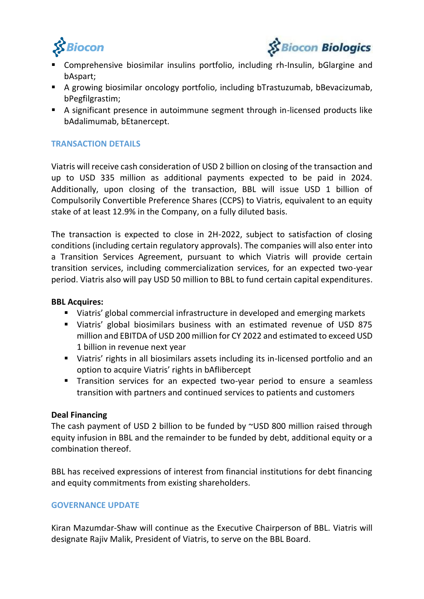



- Comprehensive biosimilar insulins portfolio, including rh-Insulin, bGlargine and bAspart;
- A growing biosimilar oncology portfolio, including bTrastuzumab, bBevacizumab, bPegfilgrastim;
- A significant presence in autoimmune segment through in-licensed products like bAdalimumab, bEtanercept.

# **TRANSACTION DETAILS**

Viatris will receive cash consideration of USD 2 billion on closing of the transaction and up to USD 335 million as additional payments expected to be paid in 2024. Additionally, upon closing of the transaction, BBL will issue USD 1 billion of Compulsorily Convertible Preference Shares (CCPS) to Viatris, equivalent to an equity stake of at least 12.9% in the Company, on a fully diluted basis.

The transaction is expected to close in 2H-2022, subject to satisfaction of closing conditions (including certain regulatory approvals). The companies will also enter into a Transition Services Agreement, pursuant to which Viatris will provide certain transition services, including commercialization services, for an expected two-year period. Viatris also will pay USD 50 million to BBL to fund certain capital expenditures.

### **BBL Acquires:**

- Viatris' global commercial infrastructure in developed and emerging markets
- Viatris' global biosimilars business with an estimated revenue of USD 875 million and EBITDA of USD 200 million for CY 2022 and estimated to exceed USD 1 billion in revenue next year
- Viatris' rights in all biosimilars assets including its in-licensed portfolio and an option to acquire Viatris' rights in bAflibercept
- **Transition services for an expected two-year period to ensure a seamless** transition with partners and continued services to patients and customers

### **Deal Financing**

The cash payment of USD 2 billion to be funded by ~USD 800 million raised through equity infusion in BBL and the remainder to be funded by debt, additional equity or a combination thereof.

BBL has received expressions of interest from financial institutions for debt financing and equity commitments from existing shareholders.

# **GOVERNANCE UPDATE**

Kiran Mazumdar-Shaw will continue as the Executive Chairperson of BBL. Viatris will designate Rajiv Malik, President of Viatris, to serve on the BBL Board.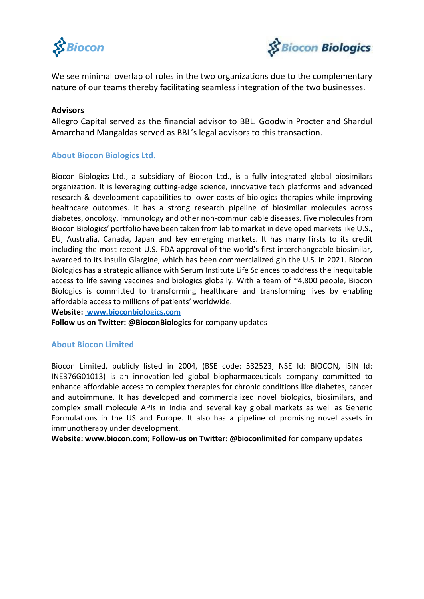



We see minimal overlap of roles in the two organizations due to the complementary nature of our teams thereby facilitating seamless integration of the two businesses.

### **Advisors**

Allegro Capital served as the financial advisor to BBL. Goodwin Procter and Shardul Amarchand Mangaldas served as BBL's legal advisors to this transaction.

### **About Biocon Biologics Ltd.**

Biocon Biologics Ltd., a subsidiary of Biocon Ltd., is a fully integrated global biosimilars organization. It is leveraging cutting-edge science, innovative tech platforms and advanced research & development capabilities to lower costs of biologics therapies while improving healthcare outcomes. It has a strong research pipeline of biosimilar molecules across diabetes, oncology, immunology and other non-communicable diseases. Five molecules from Biocon Biologics' portfolio have been taken from lab to market in developed markets like U.S., EU, Australia, Canada, Japan and key emerging markets. It has many firsts to its credit including the most recent U.S. FDA approval of the world's first interchangeable biosimilar, awarded to its Insulin Glargine, which has been commercialized gin the U.S. in 2021. Biocon Biologics has a strategic alliance with Serum Institute Life Sciences to address the inequitable access to life saving vaccines and biologics globally. With a team of ~4,800 people, Biocon Biologics is committed to transforming healthcare and transforming lives by enabling affordable access to millions of patients' worldwide.

**Website: www.bioconbiologics.com**

**Follow us on Twitter: @BioconBiologics** for company updates

### **About Biocon Limited**

Biocon Limited, publicly listed in 2004, (BSE code: 532523, NSE Id: BIOCON, ISIN Id: INE376G01013) is an innovation-led global biopharmaceuticals company committed to enhance affordable access to complex therapies for chronic conditions like diabetes, cancer and autoimmune. It has developed and commercialized novel biologics, biosimilars, and complex small molecule APIs in India and several key global markets as well as Generic Formulations in the US and Europe. It also has a pipeline of promising novel assets in immunotherapy under development.

**Website: www.biocon.com; Follow-us on Twitter: @bioconlimited** for company updates